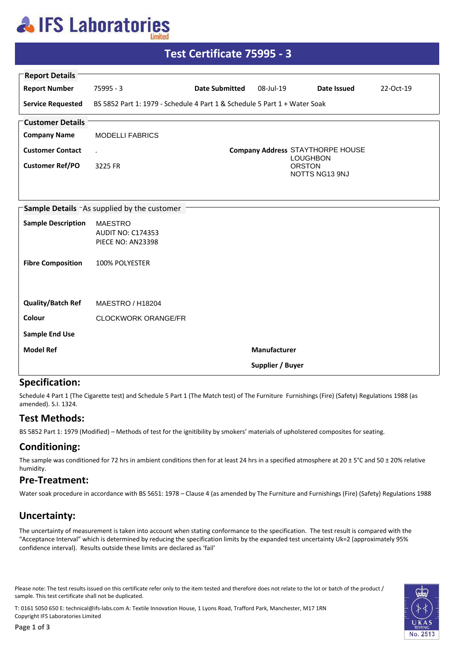## **AlFS Laboratories**

| <u> Test Certificate 75995 - 3</u>                |                                                                           |                       |                  |                                                    |           |  |  |
|---------------------------------------------------|---------------------------------------------------------------------------|-----------------------|------------------|----------------------------------------------------|-----------|--|--|
| <b>Report Details</b>                             |                                                                           |                       |                  |                                                    |           |  |  |
| <b>Report Number</b>                              | 75995 - 3                                                                 | <b>Date Submitted</b> | 08-Jul-19        | Date Issued                                        | 22-Oct-19 |  |  |
| <b>Service Requested</b>                          | BS 5852 Part 1: 1979 - Schedule 4 Part 1 & Schedule 5 Part 1 + Water Soak |                       |                  |                                                    |           |  |  |
| <b>Customer Details</b>                           |                                                                           |                       |                  |                                                    |           |  |  |
| <b>Company Name</b>                               | <b>MODELLI FABRICS</b>                                                    |                       |                  |                                                    |           |  |  |
| <b>Customer Contact</b>                           | $\mathbf{r}$                                                              |                       |                  | Company Address STAYTHORPE HOUSE                   |           |  |  |
| <b>Customer Ref/PO</b>                            | 3225 FR                                                                   |                       |                  | <b>LOUGHBON</b><br><b>ORSTON</b><br>NOTTS NG13 9NJ |           |  |  |
|                                                   |                                                                           |                       |                  |                                                    |           |  |  |
| <b>Sample Details</b> As supplied by the customer |                                                                           |                       |                  |                                                    |           |  |  |
| <b>Sample Description</b>                         | <b>MAESTRO</b><br><b>AUDIT NO: C174353</b><br>PIECE NO: AN23398           |                       |                  |                                                    |           |  |  |
| <b>Fibre Composition</b>                          | 100% POLYESTER                                                            |                       |                  |                                                    |           |  |  |
| <b>Quality/Batch Ref</b>                          | MAESTRO / H18204                                                          |                       |                  |                                                    |           |  |  |
| Colour                                            | <b>CLOCKWORK ORANGE/FR</b>                                                |                       |                  |                                                    |           |  |  |
| <b>Sample End Use</b>                             |                                                                           |                       |                  |                                                    |           |  |  |
| <b>Model Ref</b>                                  |                                                                           |                       | Manufacturer     |                                                    |           |  |  |
|                                                   |                                                                           |                       | Supplier / Buyer |                                                    |           |  |  |

#### **Specification:**

Schedule 4 Part 1 (The Cigarette test) and Schedule 5 Part 1 (The Match test) of The Furniture Furnishings (Fire) (Safety) Regulations 1988 (as amended). S.I. 1324.

#### **Test Methods:**

BS 5852 Part 1: 1979 (Modified) - Methods of test for the ignitibility by smokers' materials of upholstered composites for seating.

### **Conditioning:**

The sample was conditioned for 72 hrs in ambient conditions then for at least 24 hrs in a specified atmosphere at  $20 \pm 5^{\circ}$ C and 50  $\pm$  20% relative humidity.

#### **Pre-Treatment:**

Water soak procedure in accordance with BS 5651: 1978 - Clause 4 (as amended by The Furniture and Furnishings (Fire) (Safety) Regulations 1988

### **Uncertainty:**

The uncertainty of measurement is taken into account when stating conformance to the specification. The test result is compared with the "Acceptance Interval" which is determined by reducing the specification limits by the expanded test uncertainty Uk=2 (approximately 95% confidence interval). Results outside these limits are declared as 'fail'

Please note: The test results issued on this certificate refer only to the item tested and therefore does not relate to the lot or batch of the product / sample. This test certificate shall not be duplicated.

T: 0161 5050 650 E: technical@ifs-labs.com A: Textile Innovation House, 1 Lyons Road, Trafford Park, Manchester, M17 1RN Copyright IFS Laboratories Limited

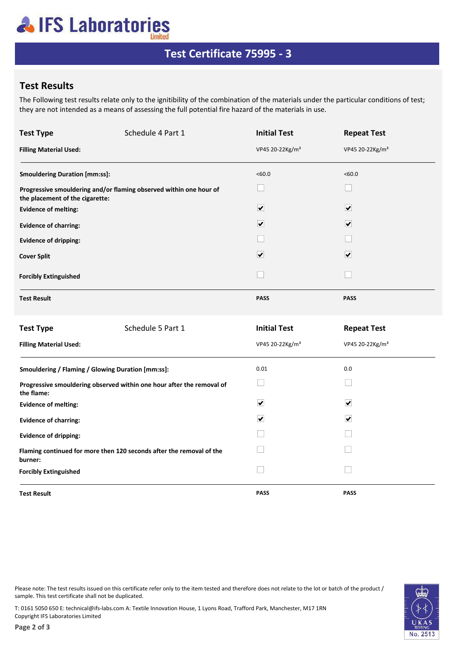# **AIFS Laboratories**

### **Test Certificate 75995 - 3**

### **Test Results**

The Following test results relate only to the ignitibility of the combination of the materials under the particular conditions of test; they are not intended as a means of assessing the full potential fire hazard of the materials in use.

| <b>Test Type</b>                                                                    | Schedule 4 Part 1                                                  | <b>Initial Test</b>         | <b>Repeat Test</b>          |  |
|-------------------------------------------------------------------------------------|--------------------------------------------------------------------|-----------------------------|-----------------------------|--|
| <b>Filling Material Used:</b>                                                       |                                                                    | VP45 20-22Kg/m <sup>3</sup> | VP45 20-22Kg/m <sup>3</sup> |  |
| <b>Smouldering Duration [mm:ss]:</b>                                                |                                                                    | <60.0                       | <60.0                       |  |
| the placement of the cigarette:                                                     | Progressive smouldering and/or flaming observed within one hour of | H                           | $\mathcal{L}^{\text{max}}$  |  |
| <b>Evidence of melting:</b>                                                         |                                                                    | $\overline{\mathbf{v}}$     | $\overline{\mathbf{v}}$     |  |
| <b>Evidence of charring:</b>                                                        |                                                                    | $\overline{\mathbf{v}}$     | $\overline{\mathbf{v}}$     |  |
| <b>Evidence of dripping:</b>                                                        |                                                                    |                             |                             |  |
| <b>Cover Split</b>                                                                  |                                                                    | $\overline{\mathbf{v}}$     | $\boxed{\checkmark}$        |  |
| <b>Forcibly Extinguished</b>                                                        |                                                                    | $\mathbf{I}$                |                             |  |
| <b>Test Result</b>                                                                  |                                                                    | PASS                        | <b>PASS</b>                 |  |
| <b>Test Type</b>                                                                    | Schedule 5 Part 1                                                  | <b>Initial Test</b>         | <b>Repeat Test</b>          |  |
| <b>Filling Material Used:</b>                                                       |                                                                    | VP45 20-22Kg/m <sup>3</sup> | VP45 20-22Kg/m <sup>3</sup> |  |
| Smouldering / Flaming / Glowing Duration [mm:ss]:                                   |                                                                    | 0.01                        | 0.0                         |  |
| Progressive smouldering observed within one hour after the removal of<br>the flame: |                                                                    | $\vert \ \ \vert$           |                             |  |
| <b>Evidence of melting:</b>                                                         |                                                                    | $\blacktriangledown$        | $\blacktriangledown$        |  |
| <b>Evidence of charring:</b>                                                        |                                                                    | $\overline{\mathbf{v}}$     | $\blacktriangledown$        |  |
| <b>Evidence of dripping:</b>                                                        |                                                                    |                             |                             |  |
| Flaming continued for more then 120 seconds after the removal of the<br>burner:     |                                                                    |                             |                             |  |
| <b>Forcibly Extinguished</b>                                                        |                                                                    |                             |                             |  |
| <b>Test Result</b>                                                                  |                                                                    | <b>PASS</b>                 | <b>PASS</b>                 |  |

Please note: The test results issued on this certificate refer only to the item tested and therefore does not relate to the lot or batch of the product / sample. This test certificate shall not be duplicated.

T: 0161 5050 650 E: technical@ifs-labs.com A: Textile Innovation House, 1 Lyons Road, Trafford Park, Manchester, M17 1RN Copyright IFS Laboratories Limited